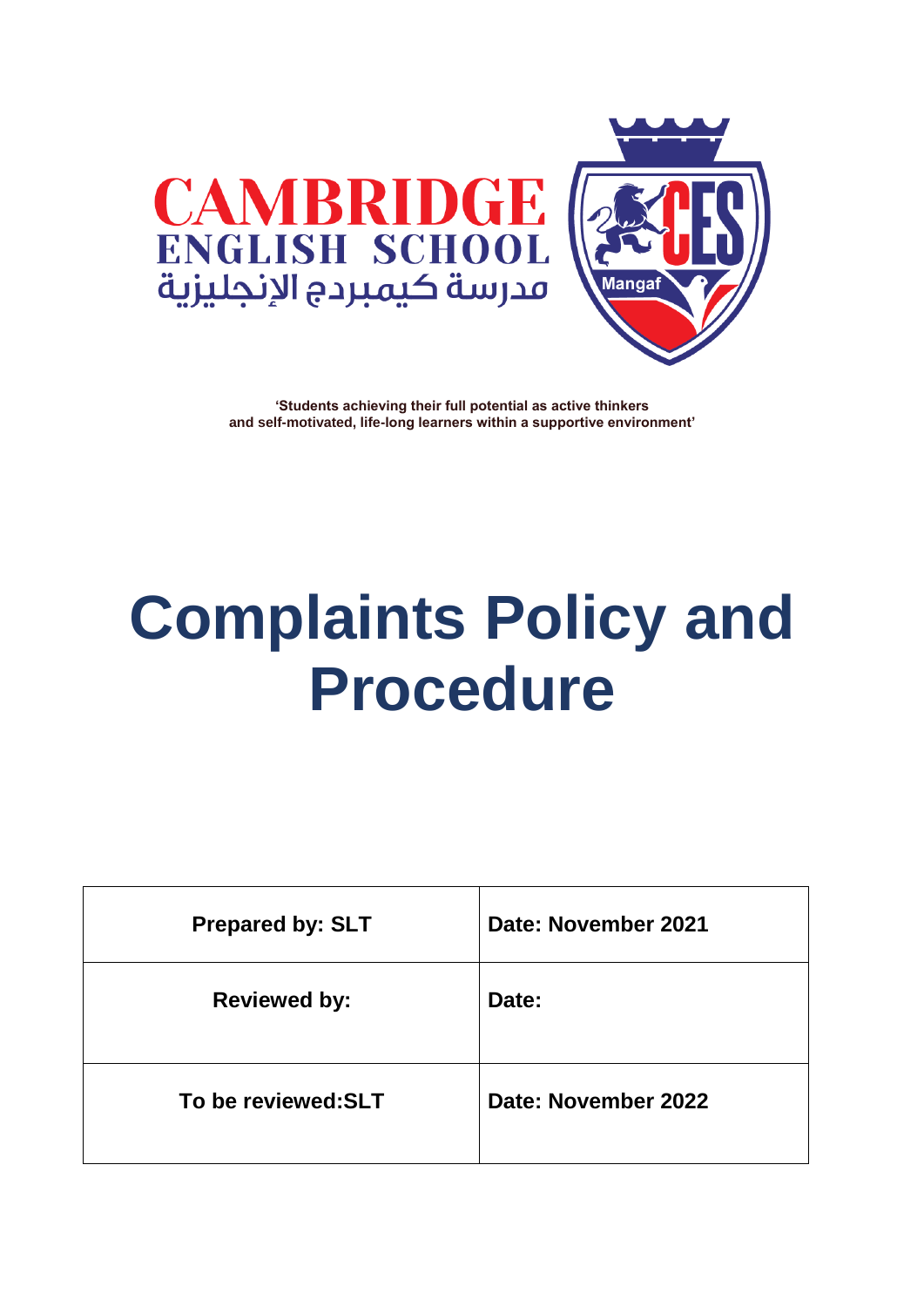



# **Complaints Policy and Procedure**

| <b>Prepared by: SLT</b> | Date: November 2021 |
|-------------------------|---------------------|
| <b>Reviewed by:</b>     | Date:               |
| To be reviewed: SLT     | Date: November 2022 |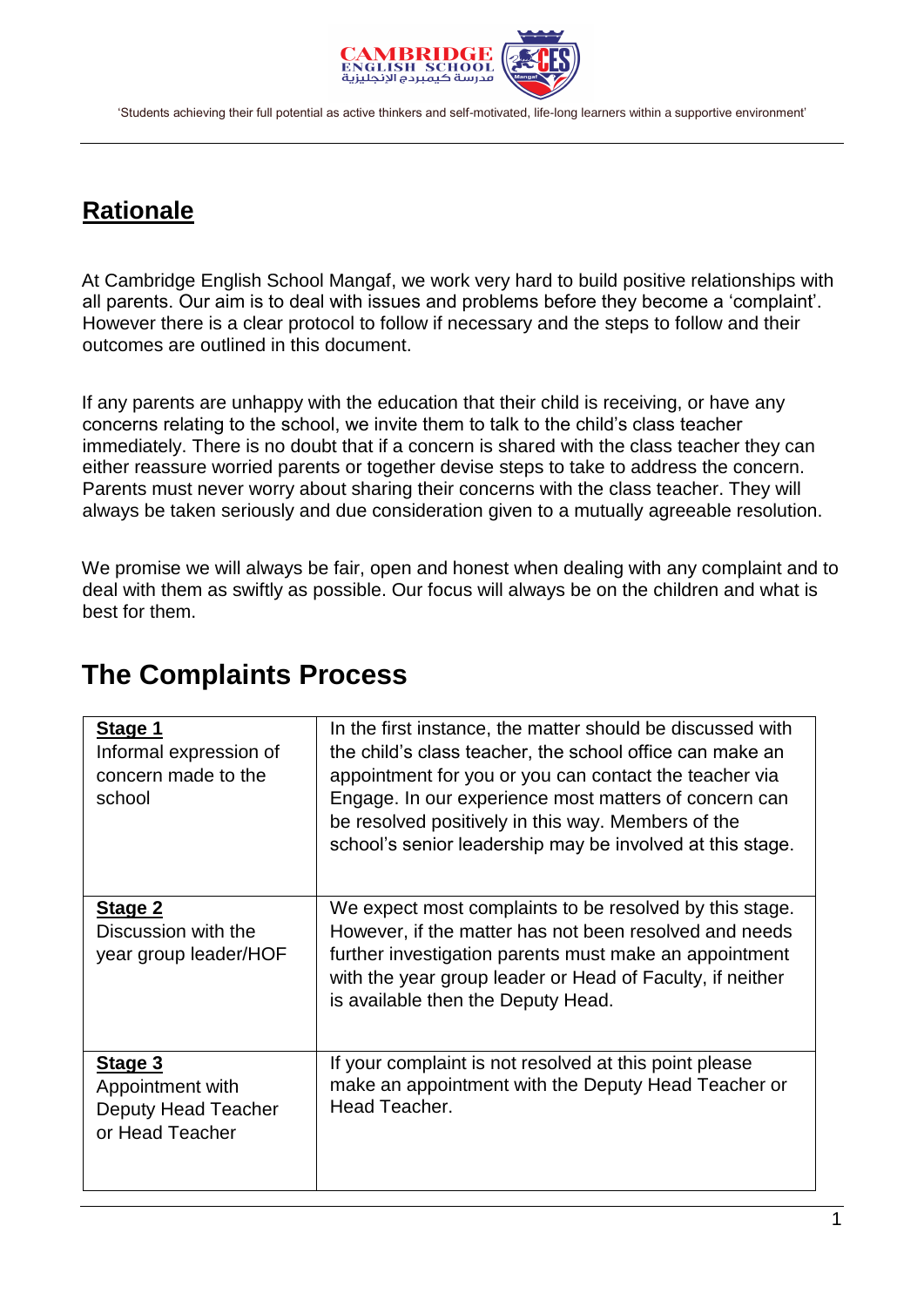

## **Rationale**

At Cambridge English School Mangaf, we work very hard to build positive relationships with all parents. Our aim is to deal with issues and problems before they become a 'complaint'. However there is a clear protocol to follow if necessary and the steps to follow and their outcomes are outlined in this document.

If any parents are unhappy with the education that their child is receiving, or have any concerns relating to the school, we invite them to talk to the child's class teacher immediately. There is no doubt that if a concern is shared with the class teacher they can either reassure worried parents or together devise steps to take to address the concern. Parents must never worry about sharing their concerns with the class teacher. They will always be taken seriously and due consideration given to a mutually agreeable resolution.

We promise we will always be fair, open and honest when dealing with any complaint and to deal with them as swiftly as possible. Our focus will always be on the children and what is best for them.

| Stage 1<br>Informal expression of<br>concern made to the<br>school    | In the first instance, the matter should be discussed with<br>the child's class teacher, the school office can make an<br>appointment for you or you can contact the teacher via<br>Engage. In our experience most matters of concern can<br>be resolved positively in this way. Members of the<br>school's senior leadership may be involved at this stage. |  |
|-----------------------------------------------------------------------|--------------------------------------------------------------------------------------------------------------------------------------------------------------------------------------------------------------------------------------------------------------------------------------------------------------------------------------------------------------|--|
| Stage 2<br>Discussion with the<br>year group leader/HOF               | We expect most complaints to be resolved by this stage.<br>However, if the matter has not been resolved and needs<br>further investigation parents must make an appointment<br>with the year group leader or Head of Faculty, if neither<br>is available then the Deputy Head.                                                                               |  |
| Stage 3<br>Appointment with<br>Deputy Head Teacher<br>or Head Teacher | If your complaint is not resolved at this point please<br>make an appointment with the Deputy Head Teacher or<br>Head Teacher.                                                                                                                                                                                                                               |  |
|                                                                       |                                                                                                                                                                                                                                                                                                                                                              |  |

#### **The Complaints Process**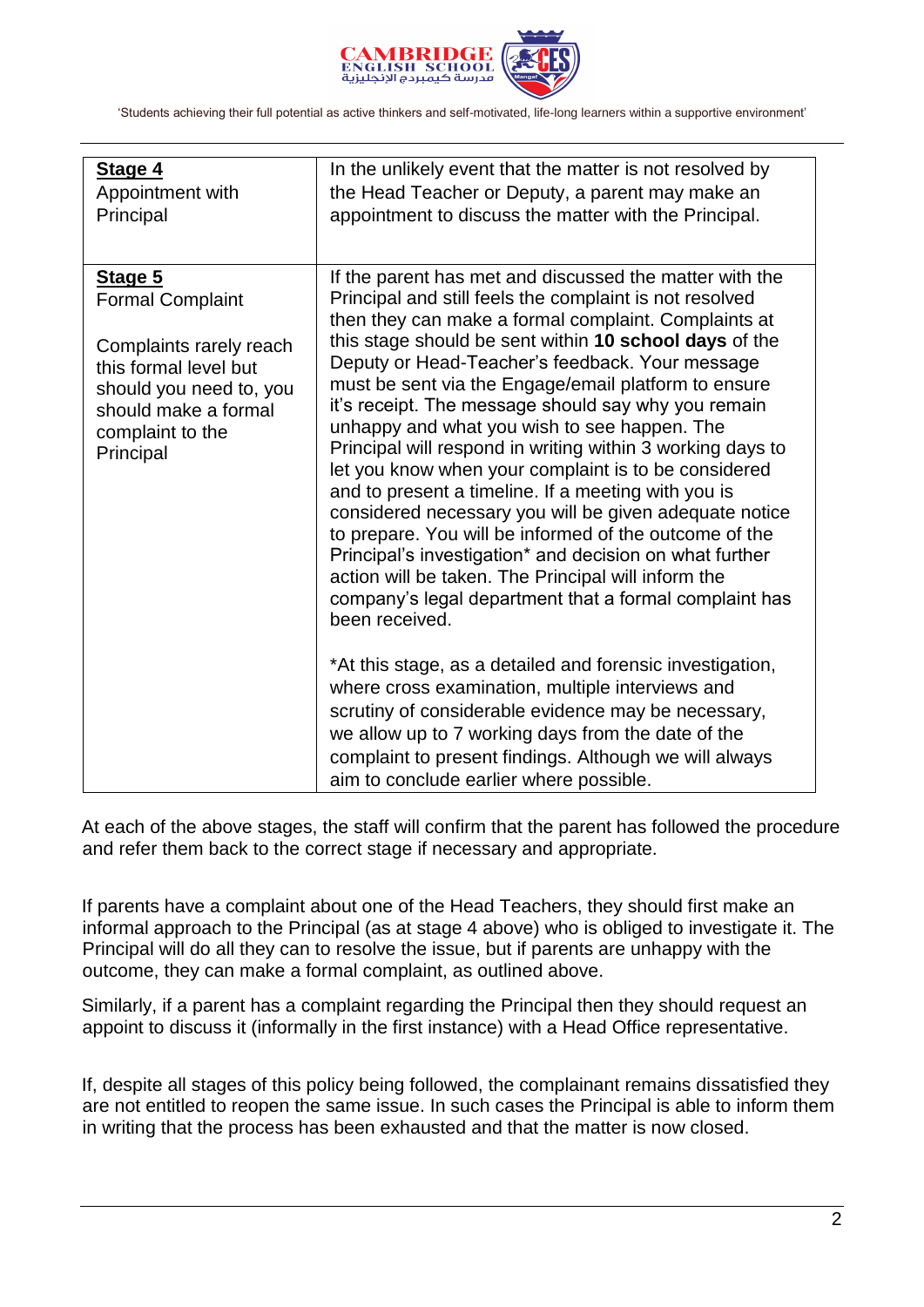

| Stage 4<br>Appointment with<br>Principal                                                                                                                                   | In the unlikely event that the matter is not resolved by<br>the Head Teacher or Deputy, a parent may make an<br>appointment to discuss the matter with the Principal.                                                                                                                                                                                                                                                                                                                                                                                                                                                                                                                                                                                                                                                                                                                                                                                 |
|----------------------------------------------------------------------------------------------------------------------------------------------------------------------------|-------------------------------------------------------------------------------------------------------------------------------------------------------------------------------------------------------------------------------------------------------------------------------------------------------------------------------------------------------------------------------------------------------------------------------------------------------------------------------------------------------------------------------------------------------------------------------------------------------------------------------------------------------------------------------------------------------------------------------------------------------------------------------------------------------------------------------------------------------------------------------------------------------------------------------------------------------|
| Stage 5<br><b>Formal Complaint</b><br>Complaints rarely reach<br>this formal level but<br>should you need to, you<br>should make a formal<br>complaint to the<br>Principal | If the parent has met and discussed the matter with the<br>Principal and still feels the complaint is not resolved<br>then they can make a formal complaint. Complaints at<br>this stage should be sent within 10 school days of the<br>Deputy or Head-Teacher's feedback. Your message<br>must be sent via the Engage/email platform to ensure<br>it's receipt. The message should say why you remain<br>unhappy and what you wish to see happen. The<br>Principal will respond in writing within 3 working days to<br>let you know when your complaint is to be considered<br>and to present a timeline. If a meeting with you is<br>considered necessary you will be given adequate notice<br>to prepare. You will be informed of the outcome of the<br>Principal's investigation* and decision on what further<br>action will be taken. The Principal will inform the<br>company's legal department that a formal complaint has<br>been received. |
|                                                                                                                                                                            | *At this stage, as a detailed and forensic investigation,<br>where cross examination, multiple interviews and<br>scrutiny of considerable evidence may be necessary,<br>we allow up to 7 working days from the date of the<br>complaint to present findings. Although we will always<br>aim to conclude earlier where possible.                                                                                                                                                                                                                                                                                                                                                                                                                                                                                                                                                                                                                       |

At each of the above stages, the staff will confirm that the parent has followed the procedure and refer them back to the correct stage if necessary and appropriate.

If parents have a complaint about one of the Head Teachers, they should first make an informal approach to the Principal (as at stage 4 above) who is obliged to investigate it. The Principal will do all they can to resolve the issue, but if parents are unhappy with the outcome, they can make a formal complaint, as outlined above.

Similarly, if a parent has a complaint regarding the Principal then they should request an appoint to discuss it (informally in the first instance) with a Head Office representative.

If, despite all stages of this policy being followed, the complainant remains dissatisfied they are not entitled to reopen the same issue. In such cases the Principal is able to inform them in writing that the process has been exhausted and that the matter is now closed.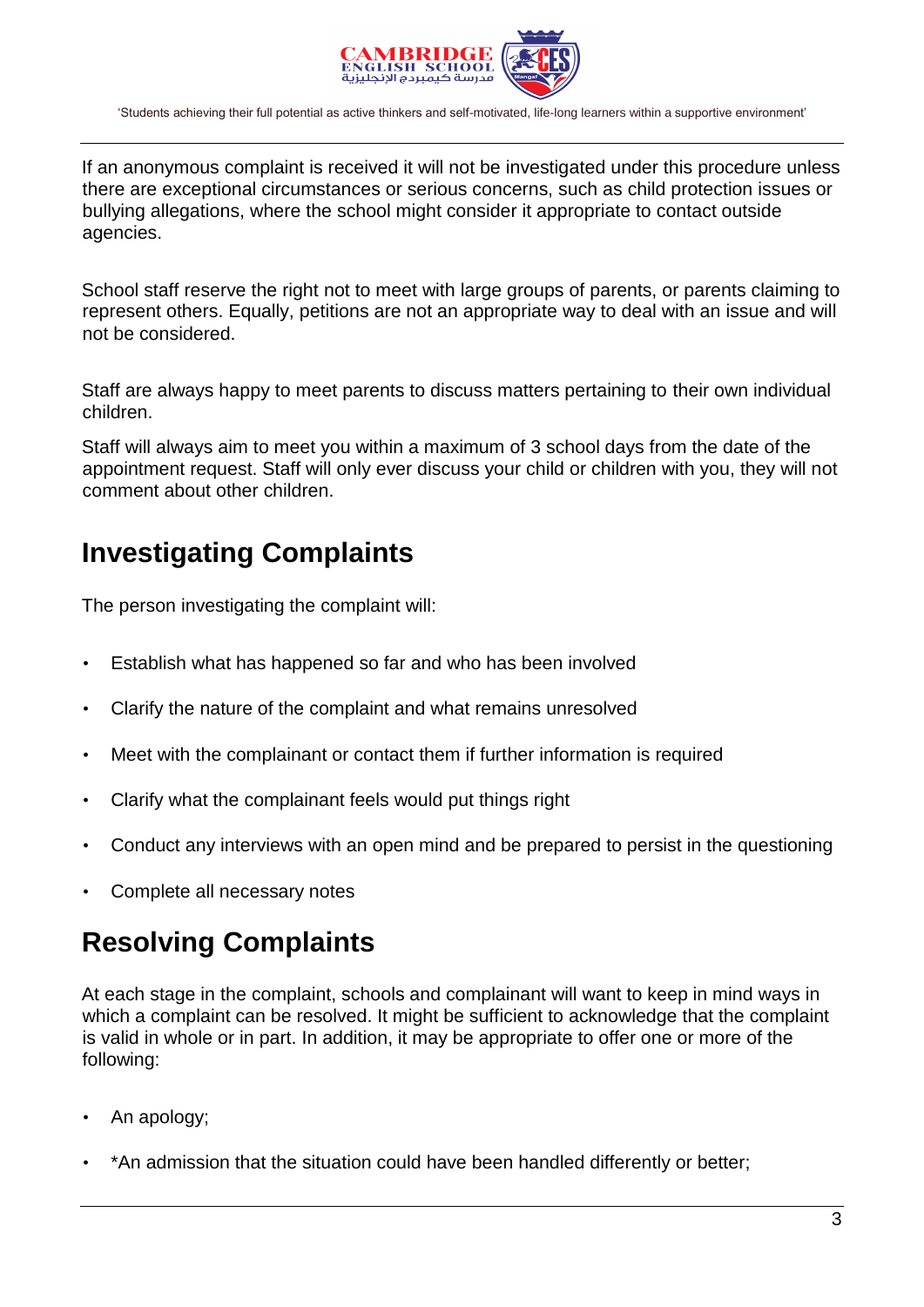

If an anonymous complaint is received it will not be investigated under this procedure unless there are exceptional circumstances or serious concerns, such as child protection issues or bullying allegations, where the school might consider it appropriate to contact outside agencies.

School staff reserve the right not to meet with large groups of parents, or parents claiming to represent others. Equally, petitions are not an appropriate way to deal with an issue and will not be considered.

Staff are always happy to meet parents to discuss matters pertaining to their own individual children.

Staff will always aim to meet you within a maximum of 3 school days from the date of the appointment request. Staff will only ever discuss your child or children with you, they will not comment about other children.

## **Investigating Complaints**

The person investigating the complaint will:

- Establish what has happened so far and who has been involved
- Clarify the nature of the complaint and what remains unresolved
- Meet with the complainant or contact them if further information is required
- Clarify what the complainant feels would put things right
- Conduct any interviews with an open mind and be prepared to persist in the questioning
- Complete all necessary notes

## **Resolving Complaints**

At each stage in the complaint, schools and complainant will want to keep in mind ways in which a complaint can be resolved. It might be sufficient to acknowledge that the complaint is valid in whole or in part. In addition, it may be appropriate to offer one or more of the following:

- An apology;
- \*An admission that the situation could have been handled differently or better;